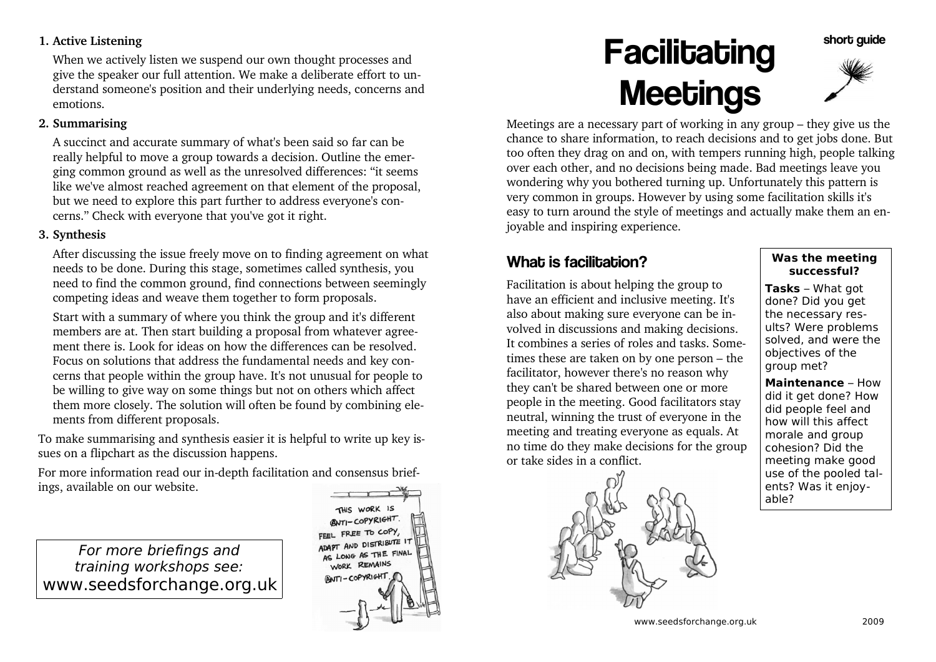#### **1. Active Listening**

When we actively listen we suspend our own thought processes and give the speaker our full attention. We make a deliberate effort to understand someone's position and their underlying needs, concerns andemotions.

#### **2. Summarising**

A succinct and accurate summary of what's been said so far can be really helpful to move a group towards a decision. Outline the emerging common ground as well as the unresolved differences: "it seems like we've almost reached agreement on that element of the proposal,but we need to explore this part further to address everyone's concerns." Check with everyone that you've got it right.

#### **3. Synthesis**

After discussing the issue freely move on to finding agreement on whatneeds to be done. During this stage, sometimes called synthesis, you need to find the common ground, find connections between seeminglycompeting ideas and weave them together to form proposals.

Start with a summary of where you think the group and it's different members are at. Then start building a proposal from whatever agreement there is. Look for ideas on how the differences can be resolved. Focus on solutions that address the fundamental needs and key concerns that people within the group have. It's not unusual for people to be willing to give way on some things but not on others which affect them more closely. The solution will often be found by combining elements from different proposals.

To make summarising and synthesis easier it is helpful to write up key issues on a flipchart as the discussion happens.

For more information read our in-depth facilitation and consensus briefings, available on our website.

For more briefings and training workshops see:www.seedsforchange.org.uk



# **Facilitating** Meetings



short quide

 Meetings are a necessary part of working in any group – they give us the chance to share information, to reach decisions and to get jobs done. But too often they drag on and on, with tempers running high, people talkingover each other, and no decisions being made. Bad meetings leave you wondering why you bothered turning up. Unfortunately this pattern is very common in groups. However by using some facilitation skills it's easy to turn around the style of meetings and actually make them an enjoyable and inspiring experience.

## What is facilitation?

Facilitation is about helping the group to have an efficient and inclusive meeting. It's also about making sure everyone can be involved in discussions and making decisions. It combines a series of roles and tasks. Sometimes these are taken on by one person – thefacilitator, however there's no reason why they can't be shared between one or more people in the meeting. Good facilitators stay neutral, winning the trust of everyone in the meeting and treating everyone as equals. At no time do they make decisions for the groupor take sides in a conflict.



#### **Was the meetingsuccessful?**

**Tasks** – What got done? Did you get the necessary results? Were problems solved, and were theobjectives of thegroup met?

**Maintenance** - How did it get done? How did people feel and how will this affect morale and group cohesion? Did the meeting make good use of the pooled talents? Was it enjoyable?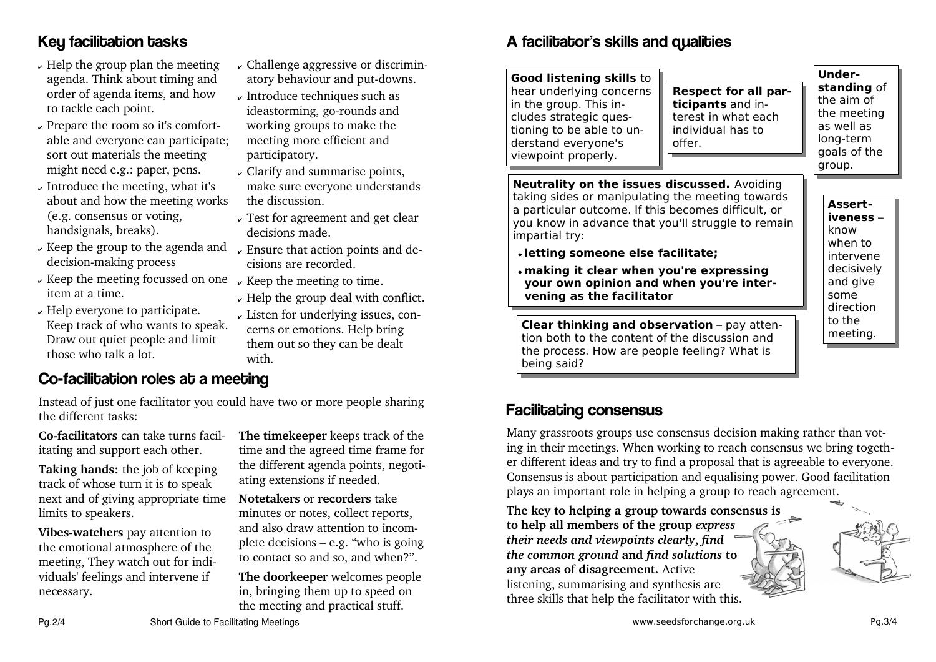## Key facilitation tasks

- $\,\overline{\!\!\boldsymbol{\mathsf{\nu}}}$  Help the group plan the meeting agenda. Think about timing and order of agenda items, and howto tackle each point.
- $\,\overline{\!\!\mathcal{F}}$  Prepare the room so it's comfortable and everyone can participate;sort out materials the meetingmight need e.g.: paper, pens.
- $\!\!\mathrm{\nu}\,$  Introduce the meeting, what it's about and how the meeting works(e.g. consensus or voting,handsignals, breaks).
- $\sim$  Keep the group to the agenda and  $\sim$  Ensure that action decision-making process
- $\,\overline{\!\!\mathscr{C}}$  Keep the meeting focussed on one item at a time.
- $\,\overline{\!\!\boldsymbol{\mathsf{\nu}}}$  Help everyone to participate. Keep track of who wants to speak.Draw out quiet people and limitthose who talk a lot.
- $\rm \sim$  Challenge aggressive or discriminatory behaviour and put-downs.
- $\,\overline{\!\!\boldsymbol\psi\,}$  Introduce techniques such as ideastorming, go-rounds and working groups to make themeeting more efficient andparticipatory.
- Clarify and summarise points, make sure everyone understandsthe discussion.
- $\rm \star$  Test for agreement and get clear decisions made.
- $\,\overline{\!\!\boldsymbol{\mathsf{}}\!\!\boldsymbol{\mathsf{}}\,}$  Ensure that action points and decisions are recorded.
- $\,\overline{\!\!\mathcal{F}}\,$  Keep the meeting to time.
- $\!\star$  Help the group deal with conflict.
- Listen for underlying issues, concerns or emotions. Help bring them out so they can be dealtwith.

### Co-facilitation roles at a meeting

Instead of just one facilitator you could have two or more people sharingthe different tasks:

**Co-facilitators** can take turns facilitating and support each other.

**Taking hands:** the job of keeping track of whose turn it is to speak next and of giving appropriate timelimits to speakers.

**Vibes-watchers** pay attention to the emotional atmosphere of the meeting, They watch out for individuals' feelings and intervene ifnecessary.

**The timekeeper** keeps track of the time and the agreed time frame for the different agenda points, negotiating extensions if needed.

**Notetakers** or **recorders** take minutes or notes, collect reports, and also draw attention to incomplete decisions – e.g. "who is goingto contact so and so, and when?".

**The doorkeeper** welcomes peoplein, bringing them up to speed onthe meeting and practical stuff.

## A facilitator's skills and qualities

**Good listening skills** to hear underlying concernsin the group. This includes strategic questioning to be able to understand everyone'sviewpoint properly.

### **Respect for all participants** and interest in what eachindividual has tooffer.

**Understanding** ofthe aim of the meetingas well as long-term goals of thegroup.

**Neutrality on the issues discussed.** Avoiding taking sides or manipulating the meeting towards a particular outcome. If this becomes difficult, or you know in advance that you'll struggle to remainimpartial try:

- **letting someone else facilitate;**
- **making it clear when you're expressing your own opinion and when you're intervening as the facilitator**

**Assertiveness** know when to intervene decisively and givesome directionto themeeting.

**Clear thinking and observation** pay attention both to the content of the discussion and the process. How are people feeling? What isbeing said?

## Facilitating consensus

Many grassroots groups use consensus decision making rather than voting in their meetings. When working to reach consensus we bring together different ideas and try to find a proposal that is agreeable to everyone. Consensus is about participation and equalising power. Good facilitationplays an important role in helping a group to reach agreement.

**The key to helping a group towards consensus isto help all members of the group** *expresstheir needs and viewpoints clearly***,** *find the common ground* **and** *find solutions* **toany areas of disagreement.** Active listening, summarising and synthesis arethree skills that help the facilitator with this.